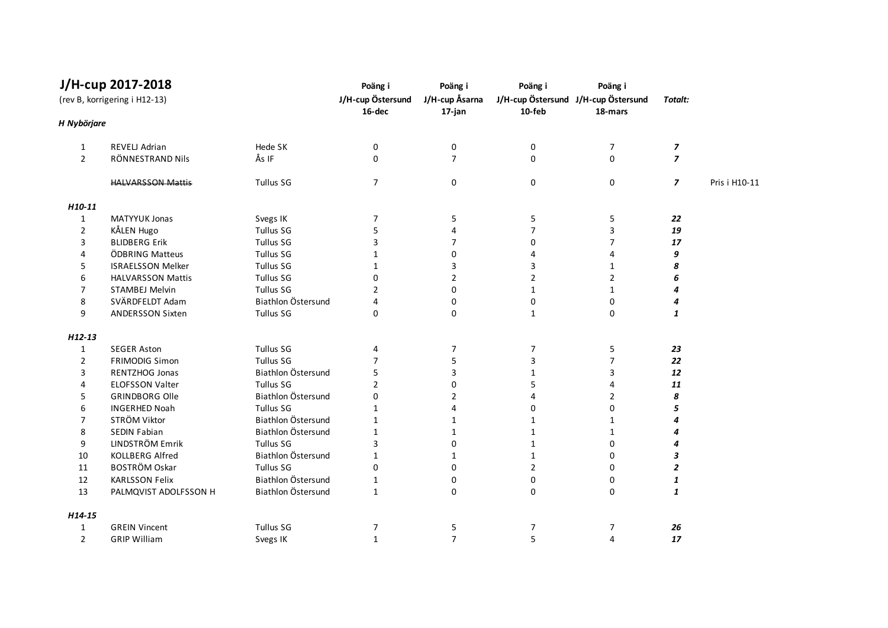|                               | J/H-cup 2017-2018        |                             | Poäng i                  | Poäng i        | Poäng i                                        | Poäng i        |                          |               |
|-------------------------------|--------------------------|-----------------------------|--------------------------|----------------|------------------------------------------------|----------------|--------------------------|---------------|
| (rev B, korrigering i H12-13) |                          | J/H-cup Östersund<br>16-dec | J/H-cup Åsarna<br>17-jan | 10-feb         | J/H-cup Östersund J/H-cup Östersund<br>18-mars | Totalt:        |                          |               |
| H Nybörjare                   |                          |                             |                          |                |                                                |                |                          |               |
| 1                             | REVELJ Adrian            | Hede SK                     | 0                        | $\pmb{0}$      | $\pmb{0}$                                      | 7              | $\overline{\phantom{a}}$ |               |
| $\overline{2}$                | RÖNNESTRAND Nils         | Ås IF                       | 0                        | $\overline{7}$ | 0                                              | 0              | $\overline{z}$           |               |
|                               | <b>HALVARSSON Mattis</b> | <b>Tullus SG</b>            | $\overline{7}$           | 0              | $\mathbf 0$                                    | 0              | $\overline{z}$           | Pris i H10-11 |
| H10-11                        |                          |                             |                          |                |                                                |                |                          |               |
| $\mathbf{1}$                  | <b>MATYYUK Jonas</b>     | Svegs IK                    | $\overline{7}$           | 5              | 5                                              | 5              | 22                       |               |
| $\overline{2}$                | KÅLEN Hugo               | <b>Tullus SG</b>            | 5                        | 4              | $\overline{7}$                                 | 3              | 19                       |               |
| 3                             | <b>BLIDBERG Erik</b>     | <b>Tullus SG</b>            | 3                        | $\overline{7}$ | 0                                              | $\overline{7}$ | 17                       |               |
| 4                             | ÖDBRING Matteus          | <b>Tullus SG</b>            | $\mathbf{1}$             | $\pmb{0}$      | 4                                              | 4              | 9                        |               |
| 5                             | <b>ISRAELSSON Melker</b> | <b>Tullus SG</b>            | $\mathbf{1}$             | 3              | 3                                              | 1              | 8                        |               |
| 6                             | <b>HALVARSSON Mattis</b> | <b>Tullus SG</b>            | 0                        | $\overline{2}$ | $\overline{2}$                                 | $\overline{2}$ | 6                        |               |
| $\overline{7}$                | <b>STAMBEJ Melvin</b>    | <b>Tullus SG</b>            | $\overline{2}$           | $\mathbf 0$    | $\mathbf{1}$                                   | $\mathbf{1}$   | 4                        |               |
| 8                             | SVÄRDFELDT Adam          | Biathlon Östersund          | 4                        | $\pmb{0}$      | 0                                              | $\mathbf 0$    | 4                        |               |
| 9                             | <b>ANDERSSON Sixten</b>  | <b>Tullus SG</b>            | 0                        | 0              | $\mathbf{1}$                                   | 0              | 1                        |               |
| $H12-13$                      |                          |                             |                          |                |                                                |                |                          |               |
| $\mathbf{1}$                  | <b>SEGER Aston</b>       | <b>Tullus SG</b>            | 4                        | $\overline{7}$ | $\overline{7}$                                 | 5              | 23                       |               |
| $\overline{2}$                | <b>FRIMODIG Simon</b>    | <b>Tullus SG</b>            | $\overline{7}$           | 5              | 3                                              | 7              | 22                       |               |
| 3                             | RENTZHOG Jonas           | Biathlon Östersund          | 5                        | 3              | $\mathbf{1}$                                   | 3              | 12                       |               |
| 4                             | <b>ELOFSSON Valter</b>   | <b>Tullus SG</b>            | $\overline{2}$           | $\mathbf 0$    | 5                                              | 4              | 11                       |               |
| 5                             | <b>GRINDBORG Olle</b>    | Biathlon Östersund          | $\Omega$                 | $\overline{2}$ | 4                                              | $\overline{2}$ | 8                        |               |
| 6                             | <b>INGERHED Noah</b>     | <b>Tullus SG</b>            | $\mathbf{1}$             | 4              | 0                                              | 0              | 5                        |               |
| 7                             | STRÖM Viktor             | Biathlon Östersund          | $\mathbf{1}$             | $\mathbf{1}$   | $\mathbf{1}$                                   | 1              | 4                        |               |
| 8                             | SEDIN Fabian             | Biathlon Östersund          | $\mathbf{1}$             | $\mathbf{1}$   | $\mathbf{1}$                                   | $\mathbf{1}$   | 4                        |               |
| 9                             | LINDSTRÖM Emrik          | <b>Tullus SG</b>            | 3                        | 0              | $\mathbf{1}$                                   | 0              | 4                        |               |
| 10                            | <b>KOLLBERG Alfred</b>   | Biathlon Östersund          | $\mathbf{1}$             | $\mathbf{1}$   | $\mathbf{1}$                                   | 0              | 3                        |               |
| 11                            | <b>BOSTRÖM Oskar</b>     | <b>Tullus SG</b>            | 0                        | $\pmb{0}$      | $\overline{2}$                                 | 0              | $\overline{2}$           |               |
| 12                            | <b>KARLSSON Felix</b>    | Biathlon Östersund          | $\mathbf{1}$             | 0              | 0                                              | 0              | 1                        |               |
| 13                            | PALMQVIST ADOLFSSON H    | Biathlon Östersund          | $\mathbf{1}$             | 0              | 0                                              | 0              | 1                        |               |
| H14-15                        |                          |                             |                          |                |                                                |                |                          |               |
| 1                             | <b>GREIN Vincent</b>     | <b>Tullus SG</b>            | 7                        | 5              | 7                                              | 7              | 26                       |               |
| $\overline{2}$                | <b>GRIP William</b>      | Svegs IK                    | $\mathbf{1}$             | $\overline{7}$ | 5                                              | 4              | 17                       |               |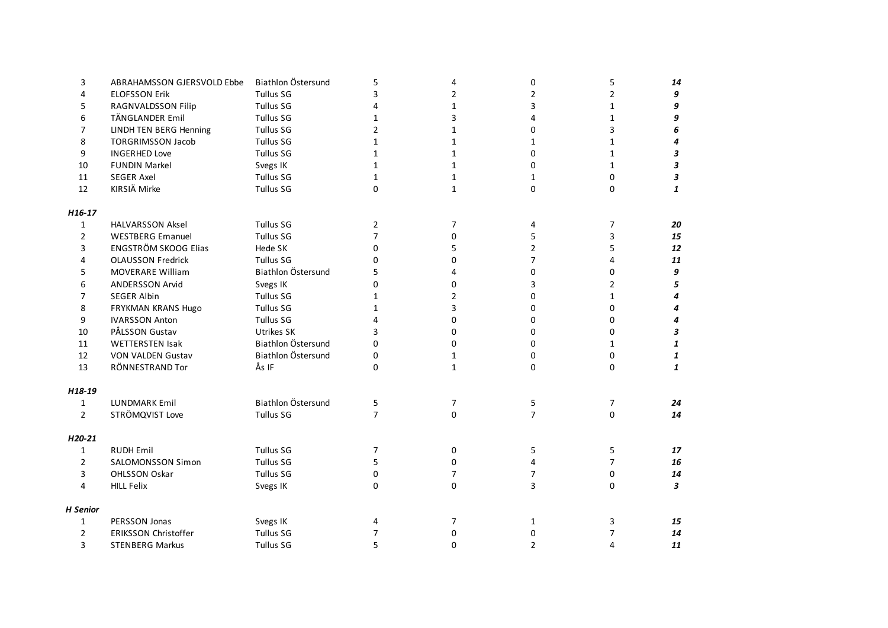| 3               | ABRAHAMSSON GJERSVOLD Ebbe  | Biathlon Östersund | 5              | 4              | 0              | 5              | 14                        |
|-----------------|-----------------------------|--------------------|----------------|----------------|----------------|----------------|---------------------------|
| 4               | <b>ELOFSSON Erik</b>        | <b>Tullus SG</b>   | 3              | 2              | 2              | 2              | 9                         |
| 5               | RAGNVALDSSON Filip          | <b>Tullus SG</b>   | 4              | 1              | 3              | 1              | 9                         |
| 6               | TÄNGLANDER Emil             | <b>Tullus SG</b>   | 1              | 3              | 4              | 1              | 9                         |
| 7               | LINDH TEN BERG Henning      | <b>Tullus SG</b>   | $\overline{2}$ | $\mathbf{1}$   | 0              | 3              | 6                         |
| 8               | <b>TORGRIMSSON Jacob</b>    | <b>Tullus SG</b>   | $\mathbf{1}$   | $\mathbf{1}$   | 1              | 1              | 4                         |
| 9               | <b>INGERHED Love</b>        | <b>Tullus SG</b>   | $\mathbf{1}$   | $\mathbf{1}$   | 0              | 1              | $\boldsymbol{\mathsf{3}}$ |
| 10              | <b>FUNDIN Markel</b>        | Svegs IK           | $\mathbf{1}$   | $\mathbf 1$    | 0              | 1              | $\boldsymbol{\mathsf{3}}$ |
| 11              | <b>SEGER Axel</b>           | Tullus SG          | $\mathbf{1}$   | $\mathbf{1}$   | 1              | 0              | $\mathbf{3}$              |
| 12              | KIRSIÄ Mirke                | <b>Tullus SG</b>   | 0              | $\mathbf{1}$   | 0              | 0              | 1                         |
| H16-17          |                             |                    |                |                |                |                |                           |
| $\mathbf{1}$    | <b>HALVARSSON Aksel</b>     | Tullus SG          | $\overline{2}$ | $\overline{7}$ | 4              | 7              | 20                        |
| $\overline{2}$  | <b>WESTBERG Emanuel</b>     | <b>Tullus SG</b>   | $\overline{7}$ | 0              | 5              | 3              | 15                        |
| 3               | <b>ENGSTRÖM SKOOG Elias</b> | Hede SK            | 0              | 5              | $\overline{2}$ | 5              | 12                        |
| 4               | <b>OLAUSSON Fredrick</b>    | <b>Tullus SG</b>   | $\Omega$       | 0              | $\overline{7}$ | 4              | 11                        |
| 5               | <b>MOVERARE William</b>     | Biathlon Östersund | 5              | 4              | 0              | 0              | 9                         |
| 6               | <b>ANDERSSON Arvid</b>      | Svegs IK           | $\Omega$       | 0              | 3              | $\overline{2}$ | 5                         |
| $\overline{7}$  | <b>SEGER Albin</b>          | <b>Tullus SG</b>   | $\mathbf{1}$   | $\overline{2}$ | 0              | $\mathbf{1}$   | 4                         |
| 8               | FRYKMAN KRANS Hugo          | <b>Tullus SG</b>   | $\mathbf{1}$   | 3              | 0              | 0              | 4                         |
| 9               | <b>IVARSSON Anton</b>       | <b>Tullus SG</b>   | $\overline{4}$ | 0              | 0              | 0              | 4                         |
| 10              | PÅLSSON Gustav              | Utrikes SK         | 3              | 0              | 0              | 0              | 3                         |
| 11              | <b>WETTERSTEN Isak</b>      | Biathlon Östersund | 0              | 0              | 0              | 1              | 1                         |
| 12              | <b>VON VALDEN Gustav</b>    | Biathlon Östersund | 0              | $\mathbf{1}$   | 0              | 0              | 1                         |
| 13              | RÖNNESTRAND Tor             | Ås IF              | 0              | $\mathbf{1}$   | 0              | 0              | 1                         |
| H18-19          |                             |                    |                |                |                |                |                           |
| 1               | <b>LUNDMARK Emil</b>        | Biathlon Östersund | 5              | 7              | 5              | 7              | 24                        |
| $\overline{2}$  | STRÖMQVIST Love             | Tullus SG          | $\overline{7}$ | 0              | $\overline{7}$ | 0              | 14                        |
| H20-21          |                             |                    |                |                |                |                |                           |
| $\mathbf{1}$    | <b>RUDH Emil</b>            | <b>Tullus SG</b>   | $\overline{7}$ | 0              | 5              | 5              | 17                        |
| $\overline{2}$  | SALOMONSSON Simon           | <b>Tullus SG</b>   | 5              | 0              | 4              | $\overline{7}$ | 16                        |
| 3               | OHLSSON Oskar               | <b>Tullus SG</b>   | 0              | $\overline{7}$ | $\overline{7}$ | 0              | 14                        |
| 4               | <b>HILL Felix</b>           | Svegs IK           | $\Omega$       | 0              | 3              | $\Omega$       | 3                         |
| <b>H</b> Senior |                             |                    |                |                |                |                |                           |
| 1               | PERSSON Jonas               | Svegs IK           | 4              | 7              | $\mathbf{1}$   | 3              | 15                        |
| $\overline{2}$  | <b>ERIKSSON Christoffer</b> | Tullus SG          | 7              | 0              | 0              | 7              | 14                        |
| $\overline{3}$  | <b>STENBERG Markus</b>      | <b>Tullus SG</b>   | 5              | 0              | $\overline{2}$ | 4              | 11                        |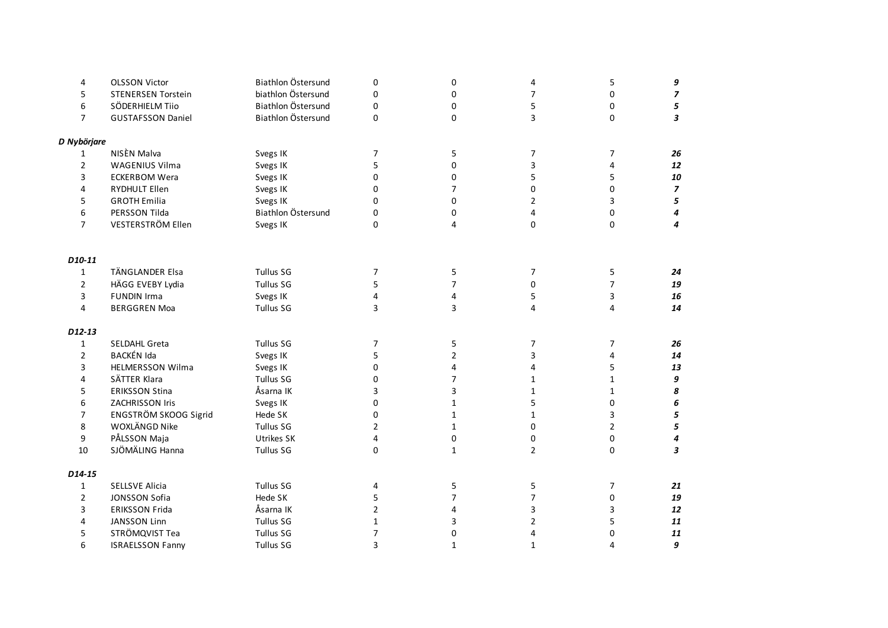| 4              | <b>OLSSON Victor</b>      | Biathlon Östersund | 0              | 0              | 4              | 5              | 9                        |
|----------------|---------------------------|--------------------|----------------|----------------|----------------|----------------|--------------------------|
| 5              | <b>STENERSEN Torstein</b> | biathlon Östersund | 0              | 0              | $\overline{7}$ | 0              | $\overline{\phantom{a}}$ |
| 6              | SÖDERHIELM Tijo           | Biathlon Östersund | 0              | 0              | 5              | 0              | 5                        |
| $\overline{7}$ | <b>GUSTAFSSON Daniel</b>  | Biathlon Östersund | 0              | 0              | 3              | 0              | 3                        |
| D Nybörjare    |                           |                    |                |                |                |                |                          |
| 1              | NISÈN Malva               | Svegs IK           | 7              | 5              | 7              | 7              | 26                       |
| $\overline{2}$ | WAGENIUS Vilma            | Svegs IK           | 5              | 0              | 3              | 4              | 12                       |
| 3              | <b>ECKERBOM Wera</b>      | Svegs IK           | 0              | 0              | 5              | 5              | 10                       |
| 4              | RYDHULT Ellen             | Svegs IK           | 0              | $\overline{7}$ | 0              | 0              | $\overline{\phantom{a}}$ |
| 5              | <b>GROTH Emilia</b>       | Svegs IK           | 0              | 0              | 2              | 3              | 5                        |
| 6              | PERSSON Tilda             | Biathlon Östersund | 0              | 0              | 4              | 0              | 4                        |
| $\overline{7}$ | VESTERSTRÖM Ellen         | Svegs IK           | 0              | 4              | $\Omega$       | 0              | 4                        |
| D10-11         |                           |                    |                |                |                |                |                          |
| $\mathbf{1}$   | TÄNGLANDER Elsa           | <b>Tullus SG</b>   | $\overline{7}$ | 5              | 7              | 5              | 24                       |
| $\overline{2}$ | HÄGG EVEBY Lydia          | Tullus SG          | 5              | $\overline{7}$ | 0              | $\overline{7}$ | 19                       |
| 3              | <b>FUNDIN Irma</b>        | Svegs IK           | 4              | 4              | 5              | 3              | 16                       |
| 4              | <b>BERGGREN Moa</b>       | <b>Tullus SG</b>   | 3              | 3              | 4              | 4              | 14                       |
| D12-13         |                           |                    |                |                |                |                |                          |
| $\mathbf{1}$   | SELDAHL Greta             | <b>Tullus SG</b>   | 7              | 5              | 7              | 7              | 26                       |
| $\overline{2}$ | BACKÉN Ida                | Svegs IK           | 5              | $\overline{2}$ | 3              | 4              | 14                       |
| 3              | <b>HELMERSSON Wilma</b>   | Svegs IK           | 0              | 4              | 4              | 5              | 13                       |
| 4              | SÄTTER Klara              | <b>Tullus SG</b>   | 0              | $\overline{7}$ | $\mathbf{1}$   | $\mathbf{1}$   | 9                        |
| 5              | <b>ERIKSSON Stina</b>     | Åsarna IK          | 3              | 3              | $\mathbf{1}$   | $\mathbf 1$    | 8                        |
| 6              | ZACHRISSON Iris           | Svegs IK           | 0              | $\mathbf{1}$   | 5              | 0              | 6                        |
| $\overline{7}$ | ENGSTRÖM SKOOG Sigrid     | Hede SK            | 0              | $\mathbf{1}$   | $\mathbf{1}$   | 3              | 5                        |
| 8              | WOXLÄNGD Nike             | <b>Tullus SG</b>   | $\overline{2}$ | $\mathbf{1}$   | 0              | $\overline{2}$ | 5                        |
| 9              | PÅLSSON Maja              | Utrikes SK         | $\pmb{4}$      | 0              | 0              | $\pmb{0}$      | 4                        |
| 10             | SJÖMÄLING Hanna           | <b>Tullus SG</b>   | 0              | $\mathbf{1}$   | $\overline{2}$ | $\mathbf 0$    | 3                        |
| D14-15         |                           |                    |                |                |                |                |                          |
| $\mathbf{1}$   | <b>SELLSVE Alicia</b>     | <b>Tullus SG</b>   | 4              | 5              | 5              | 7              | 21                       |
| $\overline{2}$ | JONSSON Sofia             | Hede SK            | 5              | $\overline{7}$ | $\overline{7}$ | 0              | 19                       |
| 3              | <b>ERIKSSON Frida</b>     | Åsarna IK          | $\overline{2}$ | 4              | 3              | 3              | 12                       |
| 4              | <b>JANSSON Linn</b>       | <b>Tullus SG</b>   | $\mathbf{1}$   | 3              | $\overline{2}$ | 5              | 11                       |
| 5              | STRÖMQVIST Tea            | <b>Tullus SG</b>   | $\overline{7}$ | 0              | 4              | 0              | 11                       |
| 6              | <b>ISRAELSSON Fanny</b>   | <b>Tullus SG</b>   | 3              | $\mathbf{1}$   | $\mathbf{1}$   | 4              | 9                        |